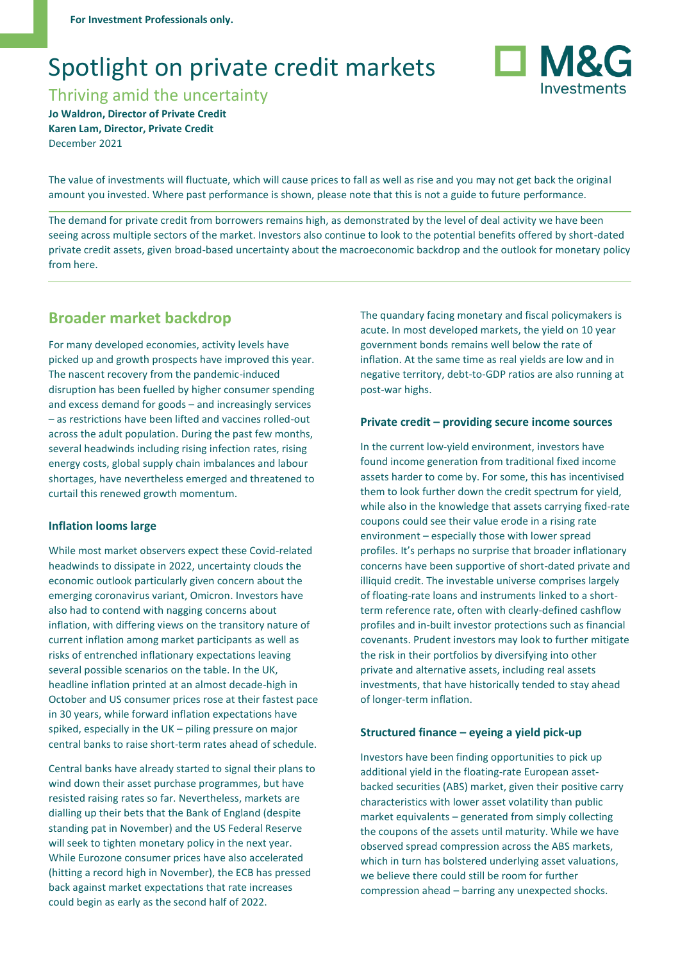# Spotlight on private credit markets

Thriving amid the uncertainty **Jo Waldron, Director of Private Credit Karen Lam, Director, Private Credit**

December 2021

The value of investments will fluctuate, which will cause prices to fall as well as rise and you may not get back the original amount you invested. Where past performance is shown, please note that this is not a guide to future performance.

The demand for private credit from borrowers remains high, as demonstrated by the level of deal activity we have been seeing across multiple sectors of the market. Investors also continue to look to the potential benefits offered by short-dated private credit assets, given broad-based uncertainty about the macroeconomic backdrop and the outlook for monetary policy from here.

# **Broader market backdrop**

For many developed economies, activity levels have picked up and growth prospects have improved this year. The nascent recovery from the pandemic-induced disruption has been fuelled by higher consumer spending and excess demand for goods – and increasingly services – as restrictions have been lifted and vaccines rolled-out across the adult population. During the past few months, several headwinds including rising infection rates, rising energy costs, global supply chain imbalances and labour shortages, have nevertheless emerged and threatened to curtail this renewed growth momentum.

## **Inflation looms large**

While most market observers expect these Covid-related headwinds to dissipate in 2022, uncertainty clouds the economic outlook particularly given concern about the emerging coronavirus variant, Omicron. Investors have also had to contend with nagging concerns about inflation, with differing views on the transitory nature of current inflation among market participants as well as risks of entrenched inflationary expectations leaving several possible scenarios on the table. In the UK, headline inflation printed at an almost decade-high in October and US consumer prices rose at their fastest pace in 30 years, while forward inflation expectations have spiked, especially in the UK – piling pressure on major central banks to raise short-term rates ahead of schedule.

Central banks have already started to signal their plans to wind down their asset purchase programmes, but have resisted raising rates so far. Nevertheless, markets are dialling up their bets that the Bank of England (despite standing pat in November) and the US Federal Reserve will seek to tighten monetary policy in the next year. While Eurozone consumer prices have also accelerated (hitting a record high in November), the ECB has pressed back against market expectations that rate increases could begin as early as the second half of 2022.

The quandary facing monetary and fiscal policymakers is acute. In most developed markets, the yield on 10 year government bonds remains well below the rate of inflation. At the same time as real yields are low and in negative territory, debt-to-GDP ratios are also running at post-war highs.

#### **Private credit – providing secure income sources**

In the current low-yield environment, investors have found income generation from traditional fixed income assets harder to come by. For some, this has incentivised them to look further down the credit spectrum for yield, while also in the knowledge that assets carrying fixed-rate coupons could see their value erode in a rising rate environment – especially those with lower spread profiles. It's perhaps no surprise that broader inflationary concerns have been supportive of short-dated private and illiquid credit. The investable universe comprises largely of floating-rate loans and instruments linked to a shortterm reference rate, often with clearly-defined cashflow profiles and in-built investor protections such as financial covenants. Prudent investors may look to further mitigate the risk in their portfolios by diversifying into other private and alternative assets, including real assets investments, that have historically tended to stay ahead of longer-term inflation.

#### **Structured finance – eyeing a yield pick-up**

Investors have been finding opportunities to pick up additional yield in the floating-rate European assetbacked securities (ABS) market, given their positive carry characteristics with lower asset volatility than public market equivalents – generated from simply collecting the coupons of the assets until maturity. While we have observed spread compression across the ABS markets, which in turn has bolstered underlying asset valuations, we believe there could still be room for further compression ahead – barring any unexpected shocks.

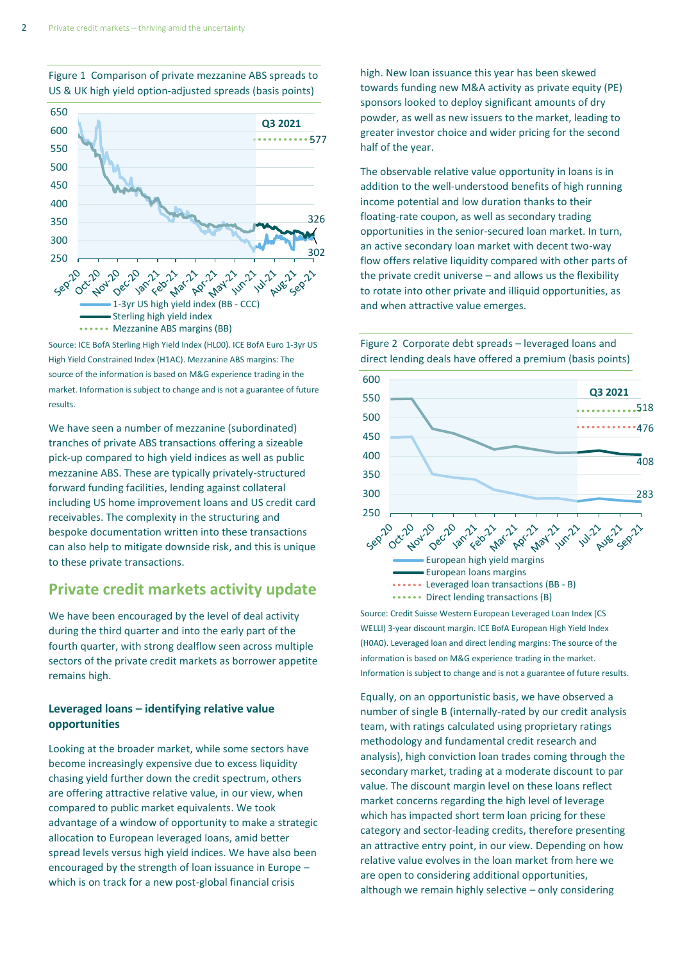

Figure 1 Comparison of private mezzanine ABS spreads to US & UK high yield option-adjusted spreads (basis points)

Source: ICE BofA Sterling High Yield Index (HL00). ICE BofA Euro 1-3yr US High Yield Constrained Index (H1AC). Mezzanine ABS margins: The source of the information is based on M&G experience trading in the market. Information is subject to change and is not a guarantee of future results.

We have seen a number of mezzanine (subordinated) tranches of private ABS transactions offering a sizeable pick-up compared to high yield indices as well as public mezzanine ABS. These are typically privately-structured forward funding facilities, lending against collateral including US home improvement loans and US credit card receivables. The complexity in the structuring and bespoke documentation written into these transactions can also help to mitigate downside risk, and this is unique to these private transactions.

# **Private credit markets activity update**

We have been encouraged by the level of deal activity during the third quarter and into the early part of the fourth quarter, with strong dealflow seen across multiple sectors of the private credit markets as borrower appetite remains high.

# **Leveraged loans – identifying relative value opportunities**

Looking at the broader market, while some sectors have become increasingly expensive due to excess liquidity chasing yield further down the credit spectrum, others are offering attractive relative value, in our view, when compared to public market equivalents. We took advantage of a window of opportunity to make a strategic allocation to European leveraged loans, amid better spread levels versus high yield indices. We have also been encouraged by the strength of loan issuance in Europe – which is on track for a new post-global financial crisis

high. New loan issuance this year has been skewed towards funding new M&A activity as private equity (PE) sponsors looked to deploy significant amounts of dry powder, as well as new issuers to the market, leading to greater investor choice and wider pricing for the second half of the year.

The observable relative value opportunity in loans is in addition to the well-understood benefits of high running income potential and low duration thanks to their floating-rate coupon, as well as secondary trading opportunities in the senior-secured loan market. In turn, an active secondary loan market with decent two-way flow offers relative liquidity compared with other parts of the private credit universe – and allows us the flexibility to rotate into other private and illiquid opportunities, as and when attractive value emerges.





Source: Credit Suisse Western European Leveraged Loan Index (CS WELLI) 3-year discount margin. ICE BofA European High Yield Index (H0A0). Leveraged loan and direct lending margins: The source of the information is based on M&G experience trading in the market. Information is subject to change and is not a guarantee of future results.

Equally, on an opportunistic basis, we have observed a number of single B (internally-rated by our credit analysis team, with ratings calculated using proprietary ratings methodology and fundamental credit research and analysis), high conviction loan trades coming through the secondary market, trading at a moderate discount to par value. The discount margin level on these loans reflect market concerns regarding the high level of leverage which has impacted short term loan pricing for these category and sector-leading credits, therefore presenting an attractive entry point, in our view. Depending on how relative value evolves in the loan market from here we are open to considering additional opportunities, although we remain highly selective – only considering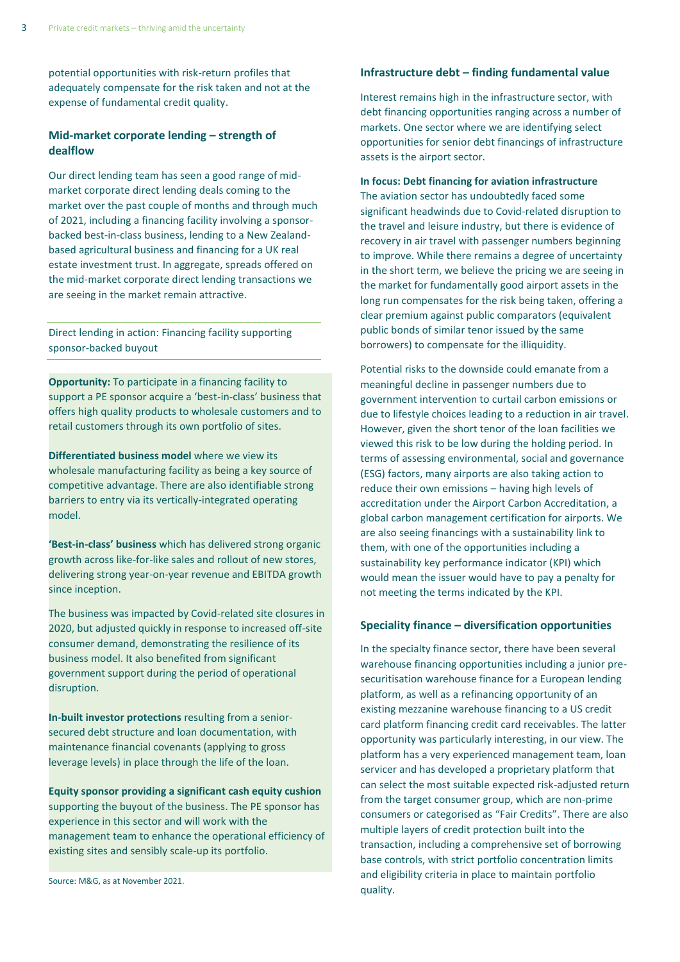potential opportunities with risk-return profiles that adequately compensate for the risk taken and not at the expense of fundamental credit quality.

## **Mid-market corporate lending – strength of dealflow**

Our direct lending team has seen a good range of midmarket corporate direct lending deals coming to the market over the past couple of months and through much of 2021, including a financing facility involving a sponsorbacked best-in-class business, lending to a New Zealandbased agricultural business and financing for a UK real estate investment trust. In aggregate, spreads offered on the mid-market corporate direct lending transactions we are seeing in the market remain attractive.

Direct lending in action: Financing facility supporting sponsor-backed buyout

**Opportunity:** To participate in a financing facility to support a PE sponsor acquire a 'best-in-class' business that offers high quality products to wholesale customers and to retail customers through its own portfolio of sites.

**Differentiated business model** where we view its wholesale manufacturing facility as being a key source of competitive advantage. There are also identifiable strong barriers to entry via its vertically-integrated operating model.

**'Best-in-class' business** which has delivered strong organic growth across like-for-like sales and rollout of new stores, delivering strong year-on-year revenue and EBITDA growth since inception.

The business was impacted by Covid-related site closures in 2020, but adjusted quickly in response to increased off-site consumer demand, demonstrating the resilience of its business model. It also benefited from significant government support during the period of operational disruption.

**In-built investor protections** resulting from a seniorsecured debt structure and loan documentation, with maintenance financial covenants (applying to gross leverage levels) in place through the life of the loan.

**Equity sponsor providing a significant cash equity cushion**  supporting the buyout of the business. The PE sponsor has experience in this sector and will work with the management team to enhance the operational efficiency of existing sites and sensibly scale-up its portfolio.

Source: M&G, as at November 2021.

## **Infrastructure debt – finding fundamental value**

Interest remains high in the infrastructure sector, with debt financing opportunities ranging across a number of markets. One sector where we are identifying select opportunities for senior debt financings of infrastructure assets is the airport sector.

## **In focus: Debt financing for aviation infrastructure**

The aviation sector has undoubtedly faced some significant headwinds due to Covid-related disruption to the travel and leisure industry, but there is evidence of recovery in air travel with passenger numbers beginning to improve. While there remains a degree of uncertainty in the short term, we believe the pricing we are seeing in the market for fundamentally good airport assets in the long run compensates for the risk being taken, offering a clear premium against public comparators (equivalent public bonds of similar tenor issued by the same borrowers) to compensate for the illiquidity.

Potential risks to the downside could emanate from a meaningful decline in passenger numbers due to government intervention to curtail carbon emissions or due to lifestyle choices leading to a reduction in air travel. However, given the short tenor of the loan facilities we viewed this risk to be low during the holding period. In terms of assessing environmental, social and governance (ESG) factors, many airports are also taking action to reduce their own emissions – having high levels of accreditation under the Airport Carbon Accreditation, a global carbon management certification for airports. We are also seeing financings with a sustainability link to them, with one of the opportunities including a sustainability key performance indicator (KPI) which would mean the issuer would have to pay a penalty for not meeting the terms indicated by the KPI.

#### **Speciality finance – diversification opportunities**

In the specialty finance sector, there have been several warehouse financing opportunities including a junior presecuritisation warehouse finance for a European lending platform, as well as a refinancing opportunity of an existing mezzanine warehouse financing to a US credit card platform financing credit card receivables. The latter opportunity was particularly interesting, in our view. The platform has a very experienced management team, loan servicer and has developed a proprietary platform that can select the most suitable expected risk-adjusted return from the target consumer group, which are non-prime consumers or categorised as "Fair Credits". There are also multiple layers of credit protection built into the transaction, including a comprehensive set of borrowing base controls, with strict portfolio concentration limits and eligibility criteria in place to maintain portfolio quality.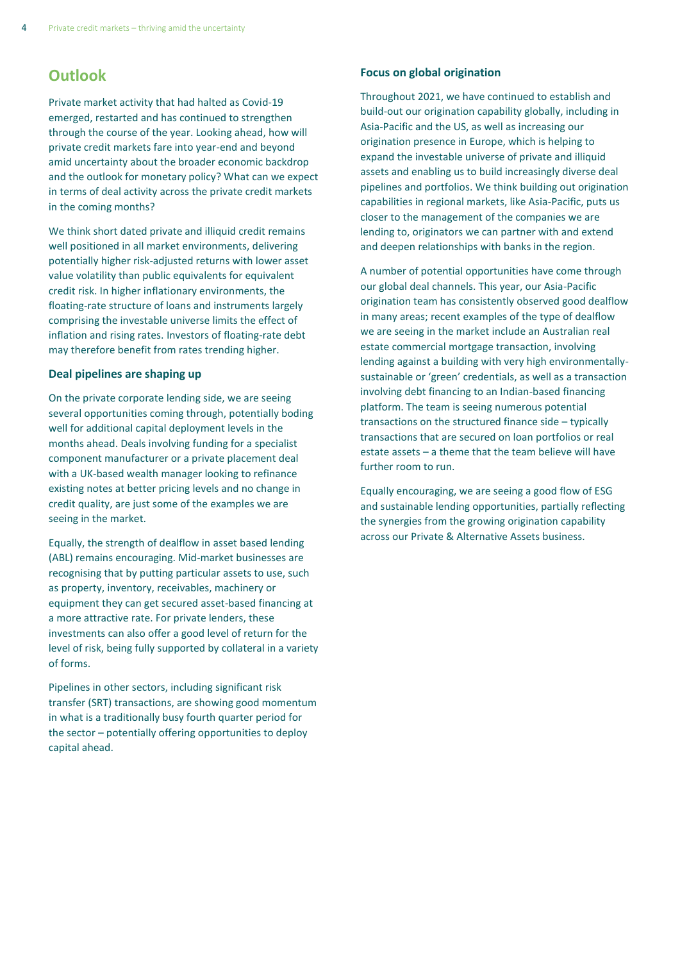# **Outlook**

Private market activity that had halted as Covid-19 emerged, restarted and has continued to strengthen through the course of the year. Looking ahead, how will private credit markets fare into year-end and beyond amid uncertainty about the broader economic backdrop and the outlook for monetary policy? What can we expect in terms of deal activity across the private credit markets in the coming months?

We think short dated private and illiquid credit remains well positioned in all market environments, delivering potentially higher risk-adjusted returns with lower asset value volatility than public equivalents for equivalent credit risk. In higher inflationary environments, the floating-rate structure of loans and instruments largely comprising the investable universe limits the effect of inflation and rising rates. Investors of floating-rate debt may therefore benefit from rates trending higher.

#### **Deal pipelines are shaping up**

On the private corporate lending side, we are seeing several opportunities coming through, potentially boding well for additional capital deployment levels in the months ahead. Deals involving funding for a specialist component manufacturer or a private placement deal with a UK-based wealth manager looking to refinance existing notes at better pricing levels and no change in credit quality, are just some of the examples we are seeing in the market.

Equally, the strength of dealflow in asset based lending (ABL) remains encouraging. Mid-market businesses are recognising that by putting particular assets to use, such as property, inventory, receivables, machinery or equipment they can get secured asset-based financing at a more attractive rate. For private lenders, these investments can also offer a good level of return for the level of risk, being fully supported by collateral in a variety of forms.

Pipelines in other sectors, including significant risk transfer (SRT) transactions, are showing good momentum in what is a traditionally busy fourth quarter period for the sector – potentially offering opportunities to deploy capital ahead.

## **Focus on global origination**

Throughout 2021, we have continued to establish and build-out our origination capability globally, including in Asia-Pacific and the US, as well as increasing our origination presence in Europe, which is helping to expand the investable universe of private and illiquid assets and enabling us to build increasingly diverse deal pipelines and portfolios. We think building out origination capabilities in regional markets, like Asia-Pacific, puts us closer to the management of the companies we are lending to, originators we can partner with and extend and deepen relationships with banks in the region.

A number of potential opportunities have come through our global deal channels. This year, our Asia-Pacific origination team has consistently observed good dealflow in many areas; recent examples of the type of dealflow we are seeing in the market include an Australian real estate commercial mortgage transaction, involving lending against a building with very high environmentallysustainable or 'green' credentials, as well as a transaction involving debt financing to an Indian-based financing platform. The team is seeing numerous potential transactions on the structured finance side – typically transactions that are secured on loan portfolios or real estate assets – a theme that the team believe will have further room to run.

Equally encouraging, we are seeing a good flow of ESG and sustainable lending opportunities, partially reflecting the synergies from the growing origination capability across our Private & Alternative Assets business.